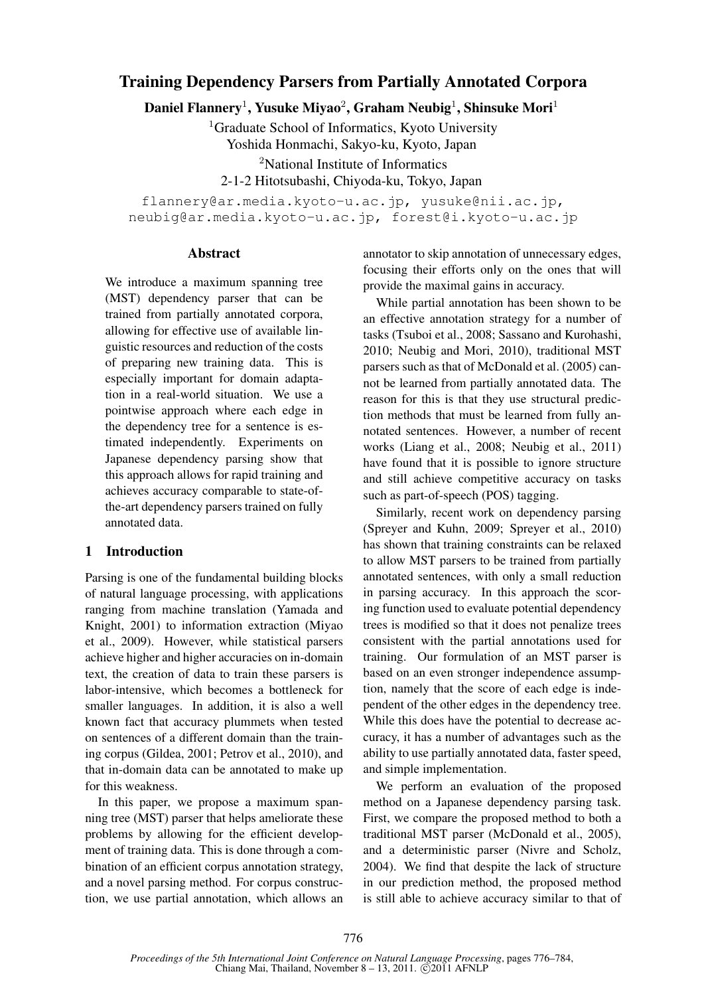# Training Dependency Parsers from Partially Annotated Corpora

Daniel Flannery $^1$ , Yusuke Miyao $^2$ , Graham Neubig $^1$ , Shinsuke Mori $^1$ 

<sup>1</sup>Graduate School of Informatics, Kyoto University

Yoshida Honmachi, Sakyo-ku, Kyoto, Japan

<sup>2</sup>National Institute of Informatics

2-1-2 Hitotsubashi, Chiyoda-ku, Tokyo, Japan

flannery@ar.media.kyoto-u.ac.jp, yusuke@nii.ac.jp, neubig@ar.media.kyoto-u.ac.jp, forest@i.kyoto-u.ac.jp

#### Abstract

We introduce a maximum spanning tree (MST) dependency parser that can be trained from partially annotated corpora, allowing for effective use of available linguistic resources and reduction of the costs of preparing new training data. This is especially important for domain adaptation in a real-world situation. We use a pointwise approach where each edge in the dependency tree for a sentence is estimated independently. Experiments on Japanese dependency parsing show that this approach allows for rapid training and achieves accuracy comparable to state-ofthe-art dependency parsers trained on fully annotated data.

# 1 Introduction

Parsing is one of the fundamental building blocks of natural language processing, with applications ranging from machine translation (Yamada and Knight, 2001) to information extraction (Miyao et al., 2009). However, while statistical parsers achieve higher and higher accuracies on in-domain text, the creation of data to train these parsers is labor-intensive, which becomes a bottleneck for smaller languages. In addition, it is also a well known fact that accuracy plummets when tested on sentences of a different domain than the training corpus (Gildea, 2001; Petrov et al., 2010), and that in-domain data can be annotated to make up for this weakness.

In this paper, we propose a maximum spanning tree (MST) parser that helps ameliorate these problems by allowing for the efficient development of training data. This is done through a combination of an efficient corpus annotation strategy, and a novel parsing method. For corpus construction, we use partial annotation, which allows an annotator to skip annotation of unnecessary edges, focusing their efforts only on the ones that will provide the maximal gains in accuracy.

While partial annotation has been shown to be an effective annotation strategy for a number of tasks (Tsuboi et al., 2008; Sassano and Kurohashi, 2010; Neubig and Mori, 2010), traditional MST parsers such as that of McDonald et al. (2005) cannot be learned from partially annotated data. The reason for this is that they use structural prediction methods that must be learned from fully annotated sentences. However, a number of recent works (Liang et al., 2008; Neubig et al., 2011) have found that it is possible to ignore structure and still achieve competitive accuracy on tasks such as part-of-speech (POS) tagging.

Similarly, recent work on dependency parsing (Spreyer and Kuhn, 2009; Spreyer et al., 2010) has shown that training constraints can be relaxed to allow MST parsers to be trained from partially annotated sentences, with only a small reduction in parsing accuracy. In this approach the scoring function used to evaluate potential dependency trees is modified so that it does not penalize trees consistent with the partial annotations used for training. Our formulation of an MST parser is based on an even stronger independence assumption, namely that the score of each edge is independent of the other edges in the dependency tree. While this does have the potential to decrease accuracy, it has a number of advantages such as the ability to use partially annotated data, faster speed, and simple implementation.

We perform an evaluation of the proposed method on a Japanese dependency parsing task. First, we compare the proposed method to both a traditional MST parser (McDonald et al., 2005), and a deterministic parser (Nivre and Scholz, 2004). We find that despite the lack of structure in our prediction method, the proposed method is still able to achieve accuracy similar to that of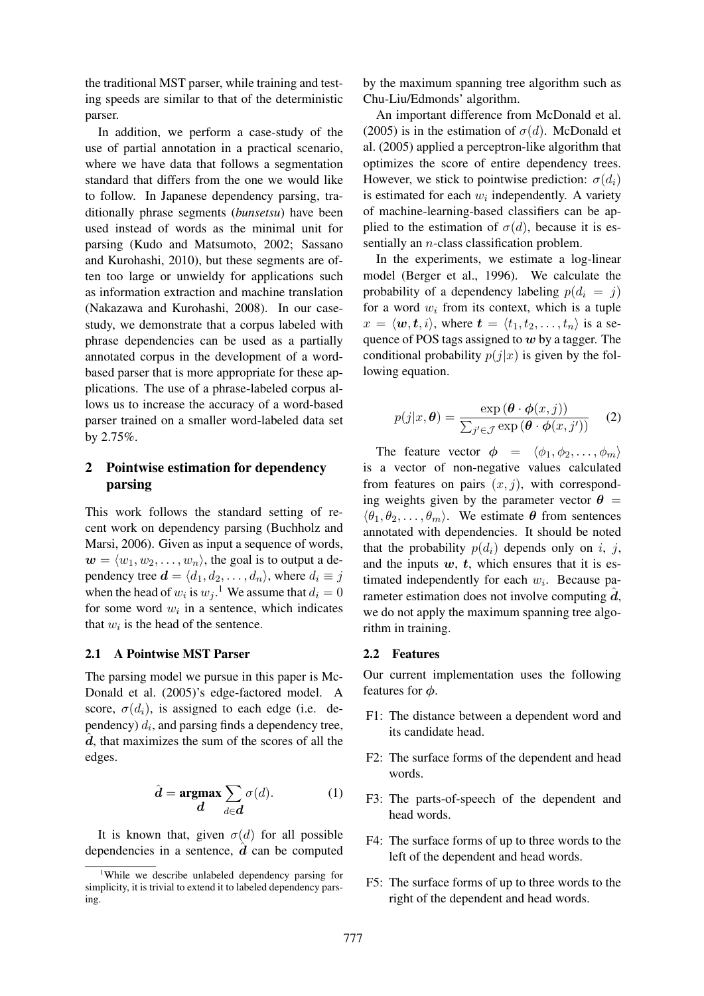the traditional MST parser, while training and testing speeds are similar to that of the deterministic parser.

In addition, we perform a case-study of the use of partial annotation in a practical scenario, where we have data that follows a segmentation standard that differs from the one we would like to follow. In Japanese dependency parsing, traditionally phrase segments (*bunsetsu*) have been used instead of words as the minimal unit for parsing (Kudo and Matsumoto, 2002; Sassano and Kurohashi, 2010), but these segments are often too large or unwieldy for applications such as information extraction and machine translation (Nakazawa and Kurohashi, 2008). In our casestudy, we demonstrate that a corpus labeled with phrase dependencies can be used as a partially annotated corpus in the development of a wordbased parser that is more appropriate for these applications. The use of a phrase-labeled corpus allows us to increase the accuracy of a word-based parser trained on a smaller word-labeled data set by 2.75%.

# 2 Pointwise estimation for dependency parsing

This work follows the standard setting of recent work on dependency parsing (Buchholz and Marsi, 2006). Given as input a sequence of words,  $\mathbf{w} = \langle w_1, w_2, \dots, w_n \rangle$ , the goal is to output a dependency tree  $\mathbf{d} = \langle d_1, d_2, \dots, d_n \rangle$ , where  $d_i \equiv j$ when the head of  $w_i$  is  $w_j$ .<sup>1</sup> We assume that  $d_i = 0$ for some word  $w_i$  in a sentence, which indicates that  $w_i$  is the head of the sentence.

#### 2.1 A Pointwise MST Parser

The parsing model we pursue in this paper is Mc-Donald et al. (2005)'s edge-factored model. A score,  $\sigma(d_i)$ , is assigned to each edge (i.e. dependency)  $d_i$ , and parsing finds a dependency tree,  $\hat{d}$ , that maximizes the sum of the scores of all the edges.

$$
\hat{d} = \underset{d}{\operatorname{argmax}} \sum_{d \in \mathbf{d}} \sigma(d). \tag{1}
$$

It is known that, given  $\sigma(d)$  for all possible dependencies in a sentence,  $\hat{d}$  can be computed by the maximum spanning tree algorithm such as Chu-Liu/Edmonds' algorithm.

An important difference from McDonald et al. (2005) is in the estimation of  $\sigma(d)$ . McDonald et al. (2005) applied a perceptron-like algorithm that optimizes the score of entire dependency trees. However, we stick to pointwise prediction:  $\sigma(d_i)$ is estimated for each  $w_i$  independently. A variety of machine-learning-based classifiers can be applied to the estimation of  $\sigma(d)$ , because it is essentially an *n*-class classification problem.

In the experiments, we estimate a log-linear model (Berger et al., 1996). We calculate the probability of a dependency labeling  $p(d_i = j)$ for a word  $w_i$  from its context, which is a tuple  $x = \langle \boldsymbol{w}, \boldsymbol{t}, i \rangle$ , where  $\boldsymbol{t} = \langle t_1, t_2, \ldots, t_n \rangle$  is a sequence of POS tags assigned to  $w$  by a tagger. The conditional probability  $p(j|x)$  is given by the following equation.

$$
p(j|x,\boldsymbol{\theta}) = \frac{\exp(\boldsymbol{\theta} \cdot \boldsymbol{\phi}(x,j))}{\sum_{j' \in \mathcal{J}} \exp(\boldsymbol{\theta} \cdot \boldsymbol{\phi}(x,j'))}
$$
 (2)

The feature vector  $\phi = \langle \phi_1, \phi_2, \dots, \phi_m \rangle$ is a vector of non-negative values calculated from features on pairs  $(x, j)$ , with corresponding weights given by the parameter vector  $\theta =$  $\langle \theta_1, \theta_2, \ldots, \theta_m \rangle$ . We estimate  $\theta$  from sentences annotated with dependencies. It should be noted that the probability  $p(d_i)$  depends only on i, j, and the inputs  $w, t$ , which ensures that it is estimated independently for each  $w_i$ . Because parameter estimation does not involve computing  $d$ , we do not apply the maximum spanning tree algorithm in training.

#### 2.2 Features

Our current implementation uses the following features for  $\phi$ .

- F1: The distance between a dependent word and its candidate head.
- F2: The surface forms of the dependent and head words.
- F3: The parts-of-speech of the dependent and head words.
- F4: The surface forms of up to three words to the left of the dependent and head words.
- F5: The surface forms of up to three words to the right of the dependent and head words.

<sup>&</sup>lt;sup>1</sup>While we describe unlabeled dependency parsing for simplicity, it is trivial to extend it to labeled dependency parsing.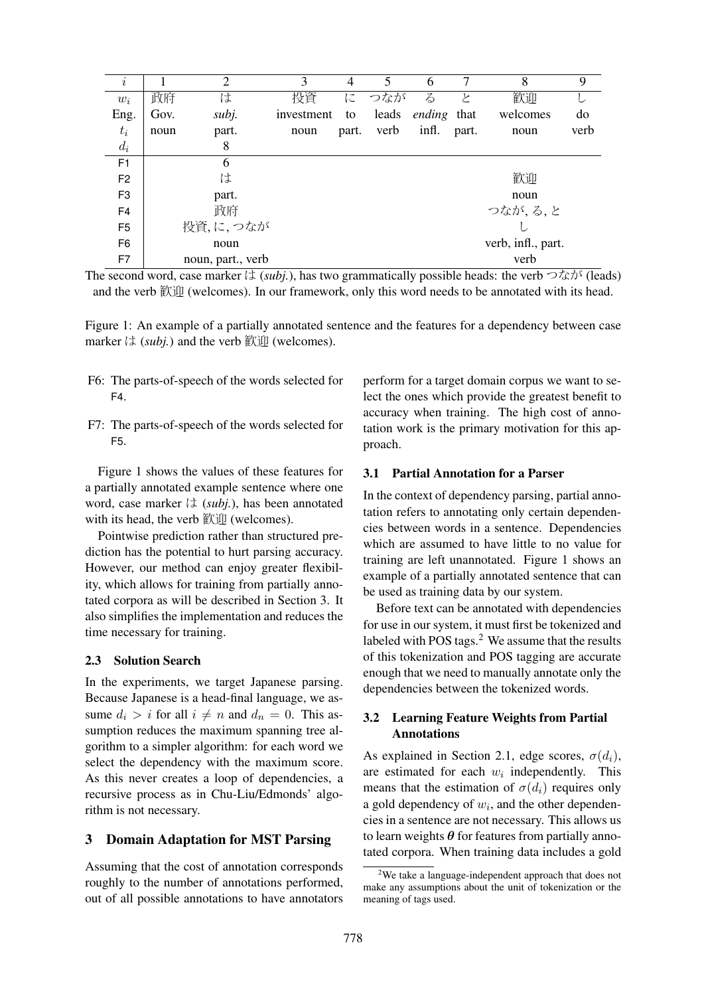| $\it i$        |      | $\overline{2}$    | 3          | 4     | 5     | 6      | 7     | 8                  | 9    |
|----------------|------|-------------------|------------|-------|-------|--------|-------|--------------------|------|
| $w_i$          | 政府   | は                 | 投資         | に     | つなが   | る      | ノ     | 歓迎                 |      |
| Eng.           | Gov. | subj.             | investment | to    | leads | ending | that  | welcomes           | do   |
| $t_i$          | noun | part.             | noun       | part. | verb  | infl.  | part. | noun               | verb |
| $d_i$          |      | 8                 |            |       |       |        |       |                    |      |
| F <sub>1</sub> |      | 6                 |            |       |       |        |       |                    |      |
| F <sub>2</sub> |      | は                 |            |       |       |        |       | 歓迎                 |      |
| F <sub>3</sub> |      | part.             |            |       |       |        |       | noun               |      |
| F <sub>4</sub> |      | 政府                |            |       |       |        |       | つなが,る,と            |      |
| F <sub>5</sub> |      | 投資,に,つなが          |            |       |       |        |       |                    |      |
| F <sub>6</sub> |      | noun              |            |       |       |        |       | verb, infl., part. |      |
| F7             |      | noun, part., verb |            |       |       |        |       | verb               |      |

The second word, case marker  $\forall$  (*subj.*), has two grammatically possible heads: the verb  $\forall$   $\forall$   $\forall$   $\forall$  (leads) and the verb 歓迎 (welcomes). In our framework, only this word needs to be annotated with its head.

Figure 1: An example of a partially annotated sentence and the features for a dependency between case marker は (*subj.*) and the verb 歓迎 (welcomes).

- F6: The parts-of-speech of the words selected for F4.
- F7: The parts-of-speech of the words selected for F5.

Figure 1 shows the values of these features for a partially annotated example sentence where one word, case marker は (*subj.*), has been annotated with its head, the verb 歓迎 (welcomes).

Pointwise prediction rather than structured prediction has the potential to hurt parsing accuracy. However, our method can enjoy greater flexibility, which allows for training from partially annotated corpora as will be described in Section 3. It also simplifies the implementation and reduces the time necessary for training.

#### 2.3 Solution Search

In the experiments, we target Japanese parsing. Because Japanese is a head-final language, we assume  $d_i > i$  for all  $i \neq n$  and  $d_n = 0$ . This assumption reduces the maximum spanning tree algorithm to a simpler algorithm: for each word we select the dependency with the maximum score. As this never creates a loop of dependencies, a recursive process as in Chu-Liu/Edmonds' algorithm is not necessary.

#### 3 Domain Adaptation for MST Parsing

Assuming that the cost of annotation corresponds roughly to the number of annotations performed, out of all possible annotations to have annotators

perform for a target domain corpus we want to select the ones which provide the greatest benefit to accuracy when training. The high cost of annotation work is the primary motivation for this approach.

#### 3.1 Partial Annotation for a Parser

In the context of dependency parsing, partial annotation refers to annotating only certain dependencies between words in a sentence. Dependencies which are assumed to have little to no value for training are left unannotated. Figure 1 shows an example of a partially annotated sentence that can be used as training data by our system.

Before text can be annotated with dependencies for use in our system, it must first be tokenized and labeled with POS tags. $2$  We assume that the results of this tokenization and POS tagging are accurate enough that we need to manually annotate only the dependencies between the tokenized words.

### 3.2 Learning Feature Weights from Partial Annotations

As explained in Section 2.1, edge scores,  $\sigma(d_i)$ , are estimated for each  $w_i$  independently. This means that the estimation of  $\sigma(d_i)$  requires only a gold dependency of  $w_i$ , and the other dependencies in a sentence are not necessary. This allows us to learn weights  $\theta$  for features from partially annotated corpora. When training data includes a gold

 $2$ We take a language-independent approach that does not make any assumptions about the unit of tokenization or the meaning of tags used.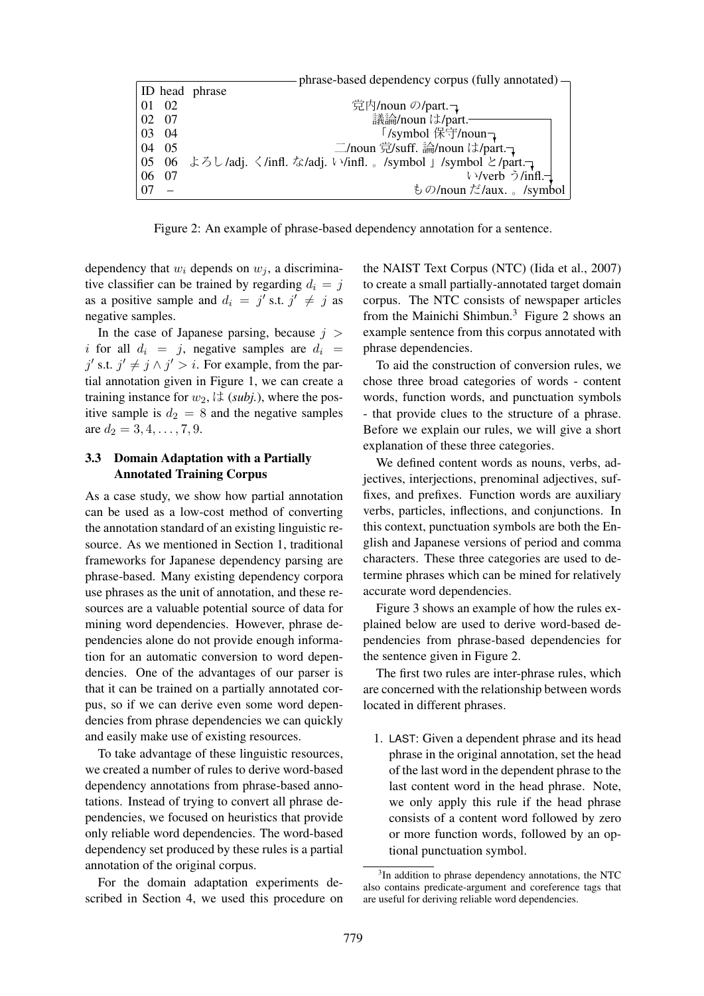|    |            | phrase-based dependency corpus (fully annotated) $\rightarrow$ |
|----|------------|----------------------------------------------------------------|
|    |            | ID head phrase                                                 |
|    | 01 02      | 党内/noun の/part. つ                                              |
|    | 02 07      | 議論/noun は/part.                                                |
|    | 03 04      | 「/symbol 保守/noun-                                              |
|    | 04 05      | 二/noun 党/suff. 論/noun は/part. つ                                |
|    | $ 05 \t06$ | よろし/adj. く/infl. な/adj. い/infl. 。/symbol 」/symbol と/part.      |
|    | 06 07      | い/verb う/infl.-                                                |
| 07 |            | もの/noun だ/aux. 。/symbol                                        |

Figure 2: An example of phrase-based dependency annotation for a sentence.

dependency that  $w_i$  depends on  $w_i$ , a discriminative classifier can be trained by regarding  $d_i = j$ as a positive sample and  $d_i = j'$  s.t.  $j' \neq j$  as negative samples.

In the case of Japanese parsing, because  $j >$ i for all  $d_i = j$ , negative samples are  $d_i = j$  $j'$  s.t.  $j' \neq j \wedge j' > i$ . For example, from the partial annotation given in Figure 1, we can create a training instance for  $w_2$ ,  $\forall$  (*subj.*), where the positive sample is  $d_2 = 8$  and the negative samples are  $d_2 = 3, 4, \ldots, 7, 9$ .

### 3.3 Domain Adaptation with a Partially Annotated Training Corpus

As a case study, we show how partial annotation can be used as a low-cost method of converting the annotation standard of an existing linguistic resource. As we mentioned in Section 1, traditional frameworks for Japanese dependency parsing are phrase-based. Many existing dependency corpora use phrases as the unit of annotation, and these resources are a valuable potential source of data for mining word dependencies. However, phrase dependencies alone do not provide enough information for an automatic conversion to word dependencies. One of the advantages of our parser is that it can be trained on a partially annotated corpus, so if we can derive even some word dependencies from phrase dependencies we can quickly and easily make use of existing resources.

To take advantage of these linguistic resources, we created a number of rules to derive word-based dependency annotations from phrase-based annotations. Instead of trying to convert all phrase dependencies, we focused on heuristics that provide only reliable word dependencies. The word-based dependency set produced by these rules is a partial annotation of the original corpus.

For the domain adaptation experiments described in Section 4, we used this procedure on the NAIST Text Corpus (NTC) (Iida et al., 2007) to create a small partially-annotated target domain corpus. The NTC consists of newspaper articles from the Mainichi Shimbun.<sup>3</sup> Figure 2 shows an example sentence from this corpus annotated with phrase dependencies.

To aid the construction of conversion rules, we chose three broad categories of words - content words, function words, and punctuation symbols - that provide clues to the structure of a phrase. Before we explain our rules, we will give a short explanation of these three categories.

We defined content words as nouns, verbs, adjectives, interjections, prenominal adjectives, suffixes, and prefixes. Function words are auxiliary verbs, particles, inflections, and conjunctions. In this context, punctuation symbols are both the English and Japanese versions of period and comma characters. These three categories are used to determine phrases which can be mined for relatively accurate word dependencies.

Figure 3 shows an example of how the rules explained below are used to derive word-based dependencies from phrase-based dependencies for the sentence given in Figure 2.

The first two rules are inter-phrase rules, which are concerned with the relationship between words located in different phrases.

1. LAST: Given a dependent phrase and its head phrase in the original annotation, set the head of the last word in the dependent phrase to the last content word in the head phrase. Note, we only apply this rule if the head phrase consists of a content word followed by zero or more function words, followed by an optional punctuation symbol.

<sup>&</sup>lt;sup>3</sup>In addition to phrase dependency annotations, the NTC also contains predicate-argument and coreference tags that are useful for deriving reliable word dependencies.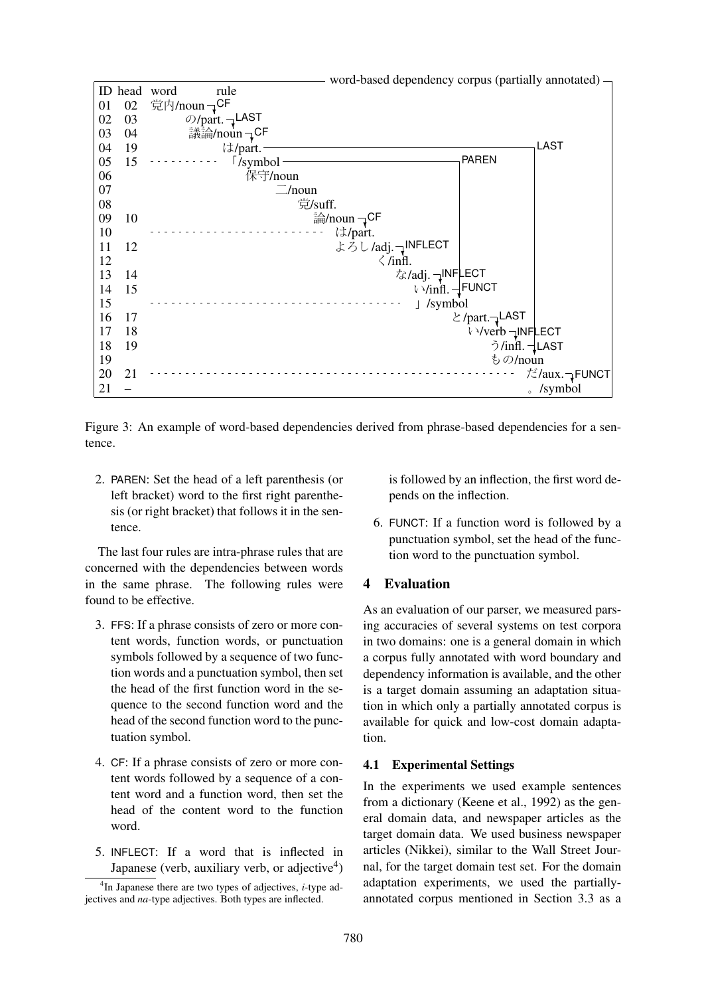

Figure 3: An example of word-based dependencies derived from phrase-based dependencies for a sentence.

2. PAREN: Set the head of a left parenthesis (or left bracket) word to the first right parenthesis (or right bracket) that follows it in the sentence.

The last four rules are intra-phrase rules that are concerned with the dependencies between words in the same phrase. The following rules were found to be effective.

- 3. FFS: If a phrase consists of zero or more content words, function words, or punctuation symbols followed by a sequence of two function words and a punctuation symbol, then set the head of the first function word in the sequence to the second function word and the head of the second function word to the punctuation symbol.
- 4. CF: If a phrase consists of zero or more content words followed by a sequence of a content word and a function word, then set the head of the content word to the function word.
- 5. INFLECT: If a word that is inflected in Japanese (verb, auxiliary verb, or adjective $4$ )

is followed by an inflection, the first word depends on the inflection.

6. FUNCT: If a function word is followed by a punctuation symbol, set the head of the function word to the punctuation symbol.

### 4 Evaluation

As an evaluation of our parser, we measured parsing accuracies of several systems on test corpora in two domains: one is a general domain in which a corpus fully annotated with word boundary and dependency information is available, and the other is a target domain assuming an adaptation situation in which only a partially annotated corpus is available for quick and low-cost domain adaptation.

### 4.1 Experimental Settings

In the experiments we used example sentences from a dictionary (Keene et al., 1992) as the general domain data, and newspaper articles as the target domain data. We used business newspaper articles (Nikkei), similar to the Wall Street Journal, for the target domain test set. For the domain adaptation experiments, we used the partiallyannotated corpus mentioned in Section 3.3 as a

<sup>4</sup> In Japanese there are two types of adjectives, *i*-type adjectives and *na*-type adjectives. Both types are inflected.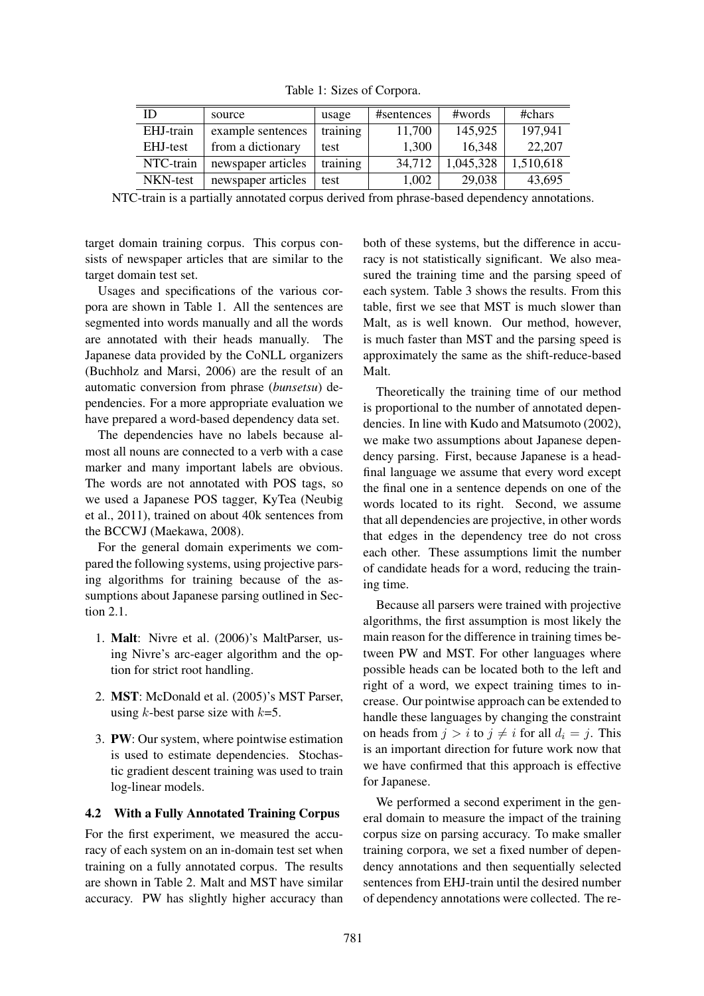| ID        | source             | usage    | #sentences | #words    | #chars    |
|-----------|--------------------|----------|------------|-----------|-----------|
| EHJ-train | example sentences  | training | 11,700     | 145,925   | 197.941   |
| EHJ-test  | from a dictionary  | test     | 1,300      | 16,348    | 22,207    |
| NTC-train | newspaper articles | training | 34,712     | 1,045,328 | 1,510,618 |
| NKN-test  | newspaper articles | test     | 1,002      | 29,038    | 43,695    |

Table 1: Sizes of Corpora.

NTC-train is a partially annotated corpus derived from phrase-based dependency annotations.

target domain training corpus. This corpus consists of newspaper articles that are similar to the target domain test set.

Usages and specifications of the various corpora are shown in Table 1. All the sentences are segmented into words manually and all the words are annotated with their heads manually. The Japanese data provided by the CoNLL organizers (Buchholz and Marsi, 2006) are the result of an automatic conversion from phrase (*bunsetsu*) dependencies. For a more appropriate evaluation we have prepared a word-based dependency data set.

The dependencies have no labels because almost all nouns are connected to a verb with a case marker and many important labels are obvious. The words are not annotated with POS tags, so we used a Japanese POS tagger, KyTea (Neubig et al., 2011), trained on about 40k sentences from the BCCWJ (Maekawa, 2008).

For the general domain experiments we compared the following systems, using projective parsing algorithms for training because of the assumptions about Japanese parsing outlined in Section 2.1.

- 1. Malt: Nivre et al. (2006)'s MaltParser, using Nivre's arc-eager algorithm and the option for strict root handling.
- 2. MST: McDonald et al. (2005)'s MST Parser, using  $k$ -best parse size with  $k=5$ .
- 3. PW: Our system, where pointwise estimation is used to estimate dependencies. Stochastic gradient descent training was used to train log-linear models.

# 4.2 With a Fully Annotated Training Corpus

For the first experiment, we measured the accuracy of each system on an in-domain test set when training on a fully annotated corpus. The results are shown in Table 2. Malt and MST have similar accuracy. PW has slightly higher accuracy than both of these systems, but the difference in accuracy is not statistically significant. We also measured the training time and the parsing speed of each system. Table 3 shows the results. From this table, first we see that MST is much slower than Malt, as is well known. Our method, however, is much faster than MST and the parsing speed is approximately the same as the shift-reduce-based Malt.

Theoretically the training time of our method is proportional to the number of annotated dependencies. In line with Kudo and Matsumoto (2002), we make two assumptions about Japanese dependency parsing. First, because Japanese is a headfinal language we assume that every word except the final one in a sentence depends on one of the words located to its right. Second, we assume that all dependencies are projective, in other words that edges in the dependency tree do not cross each other. These assumptions limit the number of candidate heads for a word, reducing the training time.

Because all parsers were trained with projective algorithms, the first assumption is most likely the main reason for the difference in training times between PW and MST. For other languages where possible heads can be located both to the left and right of a word, we expect training times to increase. Our pointwise approach can be extended to handle these languages by changing the constraint on heads from  $j > i$  to  $j \neq i$  for all  $d_i = j$ . This is an important direction for future work now that we have confirmed that this approach is effective for Japanese.

We performed a second experiment in the general domain to measure the impact of the training corpus size on parsing accuracy. To make smaller training corpora, we set a fixed number of dependency annotations and then sequentially selected sentences from EHJ-train until the desired number of dependency annotations were collected. The re-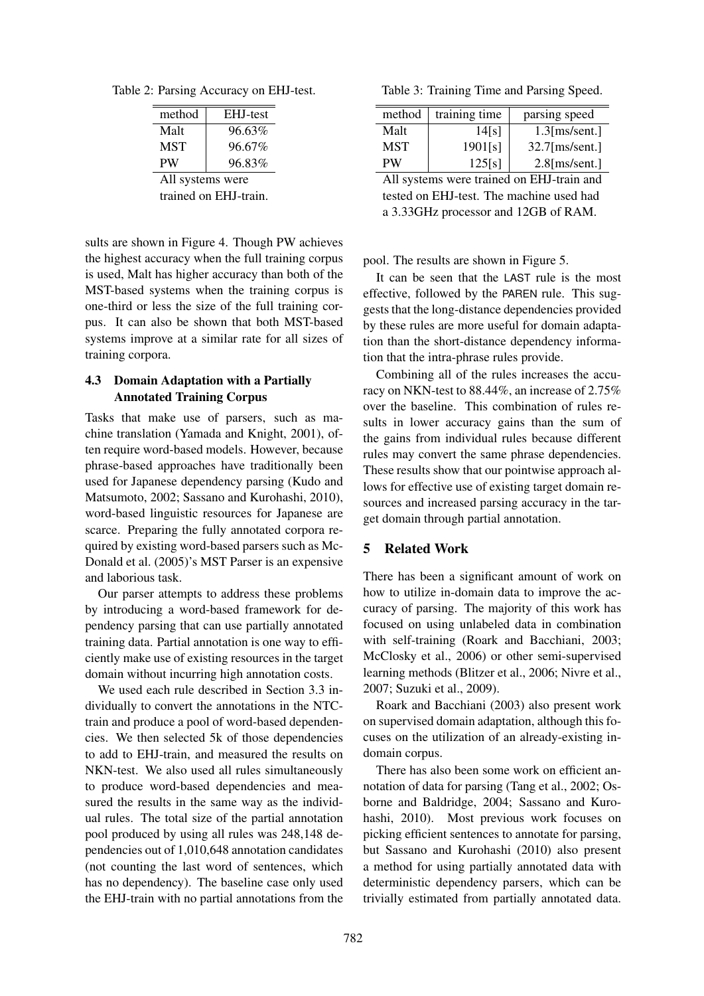Table 2: Parsing Accuracy on EHJ-test.

| method                | EHJ-test |  |  |  |
|-----------------------|----------|--|--|--|
| Malt                  | 96.63%   |  |  |  |
| <b>MST</b>            | 96.67%   |  |  |  |
| <b>PW</b>             | 96.83%   |  |  |  |
| All systems were      |          |  |  |  |
| trained on EHJ-train. |          |  |  |  |

sults are shown in Figure 4. Though PW achieves the highest accuracy when the full training corpus is used, Malt has higher accuracy than both of the MST-based systems when the training corpus is one-third or less the size of the full training corpus. It can also be shown that both MST-based systems improve at a similar rate for all sizes of training corpora.

### 4.3 Domain Adaptation with a Partially Annotated Training Corpus

Tasks that make use of parsers, such as machine translation (Yamada and Knight, 2001), often require word-based models. However, because phrase-based approaches have traditionally been used for Japanese dependency parsing (Kudo and Matsumoto, 2002; Sassano and Kurohashi, 2010), word-based linguistic resources for Japanese are scarce. Preparing the fully annotated corpora required by existing word-based parsers such as Mc-Donald et al. (2005)'s MST Parser is an expensive and laborious task.

Our parser attempts to address these problems by introducing a word-based framework for dependency parsing that can use partially annotated training data. Partial annotation is one way to efficiently make use of existing resources in the target domain without incurring high annotation costs.

We used each rule described in Section 3.3 individually to convert the annotations in the NTCtrain and produce a pool of word-based dependencies. We then selected 5k of those dependencies to add to EHJ-train, and measured the results on NKN-test. We also used all rules simultaneously to produce word-based dependencies and measured the results in the same way as the individual rules. The total size of the partial annotation pool produced by using all rules was 248,148 dependencies out of 1,010,648 annotation candidates (not counting the last word of sentences, which has no dependency). The baseline case only used the EHJ-train with no partial annotations from the

Table 3: Training Time and Parsing Speed.

| method                                    | training time | parsing speed     |  |  |
|-------------------------------------------|---------------|-------------------|--|--|
| Malt                                      | 14[s]         | $1.3$ [ms/sent.]  |  |  |
| <b>MST</b>                                | 1901[s]       | $32.7$ [ms/sent.] |  |  |
| PW                                        | 125[s]        | $2.8$ [ms/sent.]  |  |  |
| All systems were trained on EHJ-train and |               |                   |  |  |

tested on EHJ-test. The machine used had a 3.33GHz processor and 12GB of RAM.

pool. The results are shown in Figure 5.

It can be seen that the LAST rule is the most effective, followed by the PAREN rule. This suggests that the long-distance dependencies provided by these rules are more useful for domain adaptation than the short-distance dependency information that the intra-phrase rules provide.

Combining all of the rules increases the accuracy on NKN-test to 88.44%, an increase of 2.75% over the baseline. This combination of rules results in lower accuracy gains than the sum of the gains from individual rules because different rules may convert the same phrase dependencies. These results show that our pointwise approach allows for effective use of existing target domain resources and increased parsing accuracy in the target domain through partial annotation.

### 5 Related Work

There has been a significant amount of work on how to utilize in-domain data to improve the accuracy of parsing. The majority of this work has focused on using unlabeled data in combination with self-training (Roark and Bacchiani, 2003; McClosky et al., 2006) or other semi-supervised learning methods (Blitzer et al., 2006; Nivre et al., 2007; Suzuki et al., 2009).

Roark and Bacchiani (2003) also present work on supervised domain adaptation, although this focuses on the utilization of an already-existing indomain corpus.

There has also been some work on efficient annotation of data for parsing (Tang et al., 2002; Osborne and Baldridge, 2004; Sassano and Kurohashi, 2010). Most previous work focuses on picking efficient sentences to annotate for parsing, but Sassano and Kurohashi (2010) also present a method for using partially annotated data with deterministic dependency parsers, which can be trivially estimated from partially annotated data.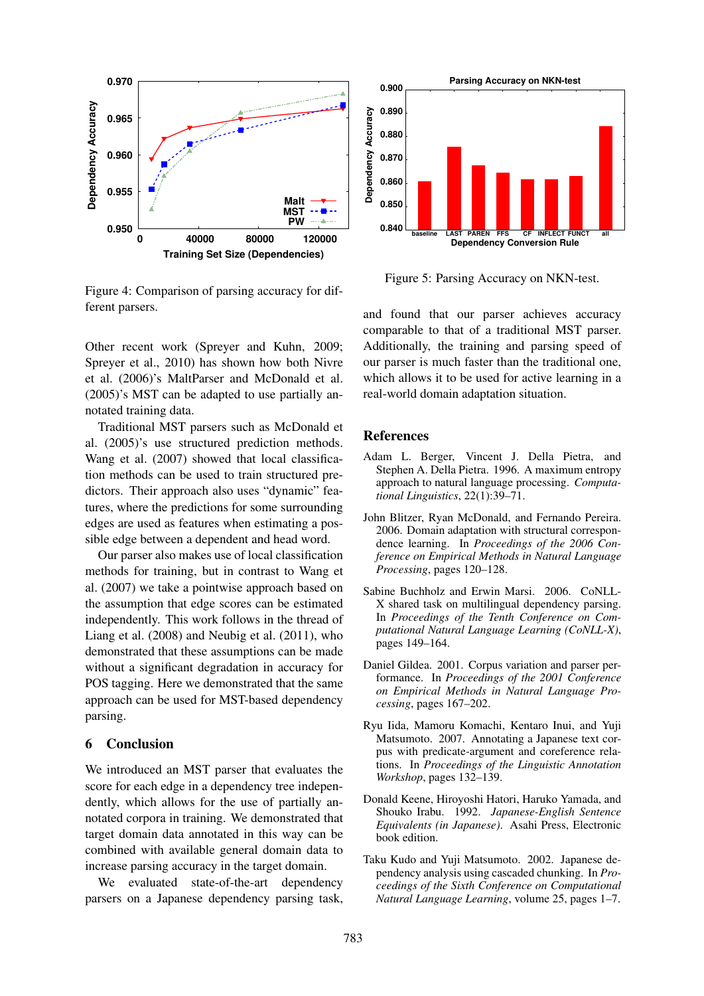

Figure 4: Comparison of parsing accuracy for different parsers.

Other recent work (Spreyer and Kuhn, 2009; Spreyer et al., 2010) has shown how both Nivre et al. (2006)'s MaltParser and McDonald et al. (2005)'s MST can be adapted to use partially annotated training data.

Traditional MST parsers such as McDonald et al. (2005)'s use structured prediction methods. Wang et al. (2007) showed that local classification methods can be used to train structured predictors. Their approach also uses "dynamic" features, where the predictions for some surrounding edges are used as features when estimating a possible edge between a dependent and head word.

Our parser also makes use of local classification methods for training, but in contrast to Wang et al. (2007) we take a pointwise approach based on the assumption that edge scores can be estimated independently. This work follows in the thread of Liang et al. (2008) and Neubig et al. (2011), who demonstrated that these assumptions can be made without a significant degradation in accuracy for POS tagging. Here we demonstrated that the same approach can be used for MST-based dependency parsing.

### 6 Conclusion

We introduced an MST parser that evaluates the score for each edge in a dependency tree independently, which allows for the use of partially annotated corpora in training. We demonstrated that target domain data annotated in this way can be combined with available general domain data to increase parsing accuracy in the target domain.

We evaluated state-of-the-art dependency parsers on a Japanese dependency parsing task,



Figure 5: Parsing Accuracy on NKN-test.

and found that our parser achieves accuracy comparable to that of a traditional MST parser. Additionally, the training and parsing speed of our parser is much faster than the traditional one, which allows it to be used for active learning in a real-world domain adaptation situation.

### References

- Adam L. Berger, Vincent J. Della Pietra, and Stephen A. Della Pietra. 1996. A maximum entropy approach to natural language processing. *Computational Linguistics*, 22(1):39–71.
- John Blitzer, Ryan McDonald, and Fernando Pereira. 2006. Domain adaptation with structural correspondence learning. In *Proceedings of the 2006 Conference on Empirical Methods in Natural Language Processing*, pages 120–128.
- Sabine Buchholz and Erwin Marsi. 2006. CoNLL-X shared task on multilingual dependency parsing. In *Proceedings of the Tenth Conference on Computational Natural Language Learning (CoNLL-X)*, pages 149–164.
- Daniel Gildea. 2001. Corpus variation and parser performance. In *Proceedings of the 2001 Conference on Empirical Methods in Natural Language Processing*, pages 167–202.
- Ryu Iida, Mamoru Komachi, Kentaro Inui, and Yuji Matsumoto. 2007. Annotating a Japanese text corpus with predicate-argument and coreference relations. In *Proceedings of the Linguistic Annotation Workshop*, pages 132–139.
- Donald Keene, Hiroyoshi Hatori, Haruko Yamada, and Shouko Irabu. 1992. *Japanese-English Sentence Equivalents (in Japanese)*. Asahi Press, Electronic book edition.
- Taku Kudo and Yuji Matsumoto. 2002. Japanese dependency analysis using cascaded chunking. In *Proceedings of the Sixth Conference on Computational Natural Language Learning*, volume 25, pages 1–7.